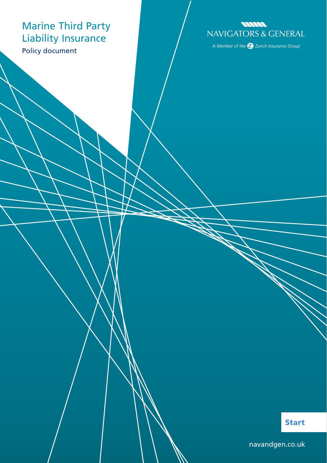## Marine Third Party Liability Insurance

Policy document



A Member of the  $\bigotimes$  Zurich Insurance Group

Start

[navandgen.co.uk](http://www.navandgen.co.uk)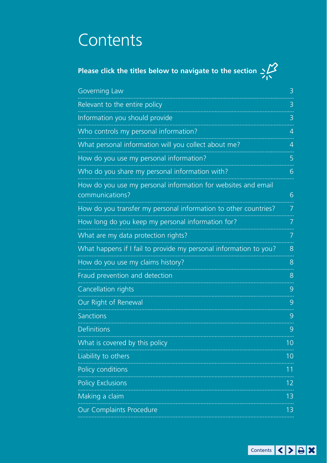# **Contents**

| Please click the titles below to navigate to the section $\leq\!\!\!\!\!\!\nearrow$ |  |
|-------------------------------------------------------------------------------------|--|
|                                                                                     |  |

| Governing Law                                                                    | 3              |
|----------------------------------------------------------------------------------|----------------|
| Relevant to the entire policy                                                    | 3              |
| Information you should provide                                                   | 3              |
| Who controls my personal information?                                            | 4              |
| What personal information will you collect about me?                             | 4              |
| How do you use my personal information?                                          | 5              |
| Who do you share my personal information with?                                   | 6              |
| How do you use my personal information for websites and email<br>communications? | 6              |
| How do you transfer my personal information to other countries?                  | 7              |
| How long do you keep my personal information for?                                | 7              |
| What are my data protection rights?                                              | 7              |
| What happens if I fail to provide my personal information to you?                | 8              |
| How do you use my claims history?                                                | 8              |
| Fraud prevention and detection                                                   | 8              |
| Cancellation rights                                                              | 9              |
| Our Right of Renewal                                                             | 9              |
| Sanctions                                                                        | 9              |
| <b>Definitions</b>                                                               | 9              |
| What is covered by this policy                                                   | 10             |
| Liability to others                                                              | 1 <sub>0</sub> |
| Policy conditions                                                                | 11             |
| <b>Policy Exclusions</b>                                                         | 12             |
| Making a claim                                                                   | 13             |
| Our Complaints Procedure                                                         | 1 <sub>3</sub> |
|                                                                                  |                |

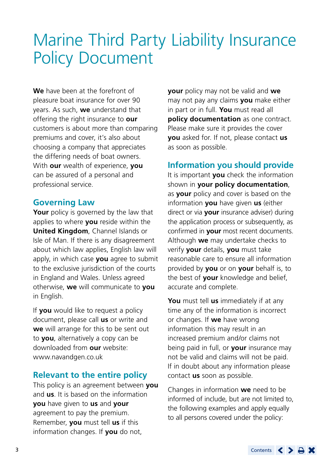## <span id="page-2-0"></span>Marine Third Party Liability Insurance Policy Document

**We** have been at the forefront of pleasure boat insurance for over 90 years. As such, **we** understand that offering the right insurance to **our** customers is about more than comparing premiums and cover, it's also about choosing a company that appreciates the differing needs of boat owners. With **our** wealth of experience, **you** can be assured of a personal and professional service.

## **Governing Law**

Your policy is governed by the law that applies to where **you** reside within the **United Kingdom**, Channel Islands or Isle of Man. If there is any disagreement about which law applies, English law will apply, in which case **you** agree to submit to the exclusive jurisdiction of the courts in England and Wales. Unless agreed otherwise, **we** will communicate to **you** in English.

If **you** would like to request a policy document, please call **us** or write and **we** will arrange for this to be sent out to **you**, alternatively a copy can be downloaded from **our** website: [www.navandgen.co.uk](http://www.navandgen.co.uk)

## **Relevant to the entire policy**

This policy is an agreement between **you** and **us**. It is based on the information **you** have given to **us** and **your** agreement to pay the premium. Remember, **you** must tell **us** if this information changes. If **you** do not,

**your** policy may not be valid and **we** may not pay any claims **you** make either in part or in full. **You** must read all **policy documentation** as one contract. Please make sure it provides the cover **you** asked for. If not, please contact **us** as soon as possible.

## **Information you should provide**

It is important **you** check the information shown in **your policy documentation**, as **your** policy and cover is based on the information **you** have given **us** (either direct or via **your** insurance adviser) during the application process or subsequently, as confirmed in **your** most recent documents. Although **we** may undertake checks to verify **your** details, **you** must take reasonable care to ensure all information provided by **you** or on **your** behalf is, to the best of **your** knowledge and belief, accurate and complete.

**You** must tell **us** immediately if at any time any of the information is incorrect or changes. If **we** have wrong information this may result in an increased premium and/or claims not being paid in full, or **your** insurance may not be valid and claims will not be paid. If in doubt about any information please contact **us** soon as possible.

Changes in information **we** need to be informed of include, but are not limited to, the following examples and apply equally to all persons covered under the policy: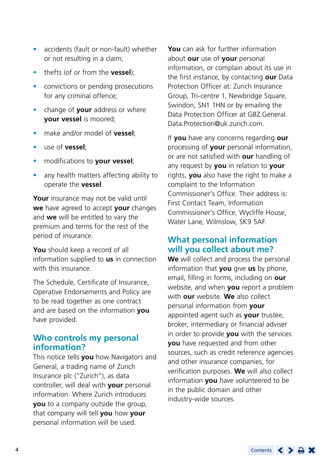- <span id="page-3-0"></span>• accidents (fault or non-fault) whether or not resulting in a claim;
- thefts (of or from the **vessel**);
- convictions or pending prosecutions for any criminal offence;
- change of **your** address or where **your vessel** is moored;
- make and/or model of **vessel**;
- use of **vessel**;
- modifications to **your vessel**;
- any health matters affecting ability to operate the **vessel**.

**Your** insurance may not be valid until **we** have agreed to accept **your** changes and **we** will be entitled to vary the premium and terms for the rest of the period of insurance.

**You** should keep a record of all information supplied to **us** in connection with this insurance.

The Schedule, Certificate of Insurance, Operative Endorsements and Policy are to be read together as one contract and are based on the information **you** have provided.

## **Who controls my personal information?**

This notice tells **you** how Navigators and General, a trading name of Zurich Insurance plc ("Zurich"), as data controller, will deal with **your** personal information. Where Zurich introduces **you** to a company outside the group, that company will tell **you** how **your** personal information will be used.

**You** can ask for further information about **our** use of **your** personal information, or complain about its use in the first instance, by contacting **our** Data Protection Officer at: Zurich Insurance Group, Tri-centre 1, Newbridge Square, Swindon, SN1 1HN or by emailing the Data Protection Officer at [GBZ.General.](mailto:GBZ.General.Data.Protection@uk.zurich.com) [Data.Protection@uk.zurich.com.](mailto:GBZ.General.Data.Protection@uk.zurich.com)

If **you** have any concerns regarding **our** processing of **your** personal information, or are not satisfied with **our** handling of any request by **you** in relation to **your** rights, **you** also have the right to make a complaint to the Information Commissioner's Office. Their address is: First Contact Team, Information Commissioner's Office, Wycliffe House, Water Lane, Wilmslow, SK9 5AF.

## **What personal information will you collect about me?**

**We** will collect and process the personal information that **you** give **us** by phone, email, filling in forms, including on **our** website, and when **you** report a problem with **our** website. **We** also collect personal information from **your** appointed agent such as **your** trustee, broker, intermediary or financial adviser in order to provide **you** with the services **you** have requested and from other sources, such as credit reference agencies and other insurance companies, for verification purposes. **We** will also collect information **you** have volunteered to be in the public domain and other industry-wide sources.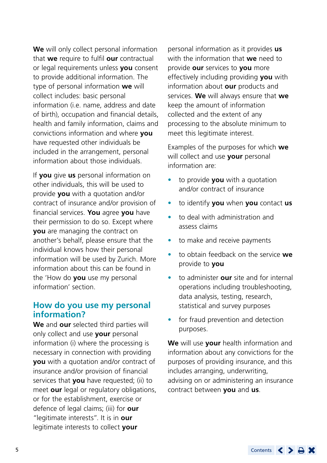<span id="page-4-0"></span>**We** will only collect personal information that **we** require to fulfil **our** contractual or legal requirements unless **you** consent to provide additional information. The type of personal information **we** will collect includes: basic personal information (i.e. name, address and date of birth), occupation and financial details, health and family information, claims and convictions information and where **you** have requested other individuals be included in the arrangement, personal information about those individuals.

If **you** give **us** personal information on other individuals, this will be used to provide **you** with a quotation and/or contract of insurance and/or provision of financial services. **You** agree **you** have their permission to do so. Except where **you** are managing the contract on another's behalf, please ensure that the individual knows how their personal information will be used by Zurich. More information about this can be found in the 'How do **you** use my personal information' section.

### **How do you use my personal information?**

**We** and **our** selected third parties will only collect and use **your** personal information (i) where the processing is necessary in connection with providing **you** with a quotation and/or contract of insurance and/or provision of financial services that **you** have requested; (ii) to meet **our** legal or regulatory obligations, or for the establishment, exercise or defence of legal claims; (iii) for **our** "legitimate interests". It is in **our** legitimate interests to collect **your**

personal information as it provides **us** with the information that **we** need to provide **our** services to **you** more effectively including providing **you** with information about **our** products and services. **We** will always ensure that **we** keep the amount of information collected and the extent of any processing to the absolute minimum to meet this legitimate interest.

Examples of the purposes for which **we** will collect and use **your** personal information are:

- to provide **you** with a quotation and/or contract of insurance
- to identify **you** when **you** contact **us**
- to deal with administration and assess claims
- to make and receive payments
- to obtain feedback on the service **we** provide to **you**
- to administer **our** site and for internal operations including troubleshooting, data analysis, testing, research, statistical and survey purposes
- for fraud prevention and detection purposes.

**We** will use **your** health information and information about any convictions for the purposes of providing insurance, and this includes arranging, underwriting, advising on or administering an insurance contract between **you** and **us**.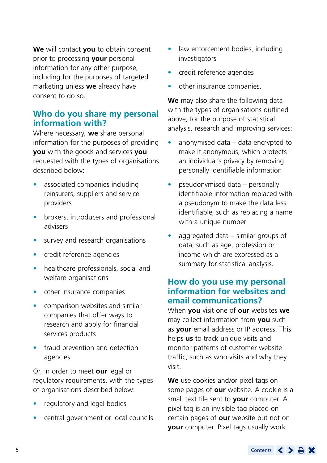<span id="page-5-0"></span>**We** will contact **you** to obtain consent prior to processing **your** personal information for any other purpose, including for the purposes of targeted marketing unless **we** already have consent to do so.

## **Who do you share my personal information with?**

Where necessary, **we** share personal information for the purposes of providing **you** with the goods and services **you** requested with the types of organisations described below:

- associated companies including reinsurers, suppliers and service providers
- brokers, introducers and professional advisers
- survey and research organisations
- credit reference agencies
- healthcare professionals, social and welfare organisations
- other insurance companies
- comparison websites and similar companies that offer ways to research and apply for financial services products
- fraud prevention and detection agencies.

Or, in order to meet **our** legal or regulatory requirements, with the types of organisations described below:

- regulatory and legal bodies
- central government or local councils
- law enforcement bodies, including investigators
- credit reference agencies
- other insurance companies.

**We** may also share the following data with the types of organisations outlined above, for the purpose of statistical analysis, research and improving services:

- anonymised data data encrypted to make it anonymous, which protects an individual's privacy by removing personally identifiable information
- pseudonymised data personally identifiable information replaced with a pseudonym to make the data less identifiable, such as replacing a name with a unique number
- aggregated data similar groups of data, such as age, profession or income which are expressed as a summary for statistical analysis.

## **How do you use my personal information for websites and email communications?**

When **you** visit one of **our** websites **we** may collect information from **you** such as **your** email address or IP address. This helps **us** to track unique visits and monitor patterns of customer website traffic, such as who visits and why they visit.

**We** use cookies and/or pixel tags on some pages of **our** website. A cookie is a small text file sent to **your** computer. A pixel tag is an invisible tag placed on certain pages of **our** website but not on **your** computer. Pixel tags usually work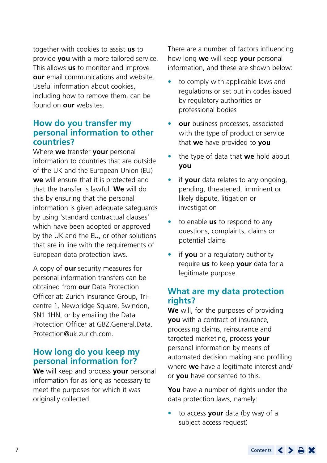<span id="page-6-0"></span>together with cookies to assist **us** to provide **you** with a more tailored service. This allows **us** to monitor and improve **our** email communications and website. Useful information about cookies, including how to remove them, can be found on **our** websites.

## **How do you transfer my personal information to other countries?**

Where **we** transfer **your** personal information to countries that are outside of the UK and the European Union (EU) **we** will ensure that it is protected and that the transfer is lawful. **We** will do this by ensuring that the personal information is given adequate safeguards by using 'standard contractual clauses' which have been adopted or approved by the UK and the EU, or other solutions that are in line with the requirements of European data protection laws.

A copy of **our** security measures for personal information transfers can be obtained from **our** Data Protection Officer at: Zurich Insurance Group, Tricentre 1, Newbridge Square, Swindon, SN1 1HN, or by emailing the Data Protection Officer at [GBZ.General.Data.](mailto:GBZ.General.Data.Protection@uk.zurich.com) [Protection@uk.zurich.com](mailto:GBZ.General.Data.Protection@uk.zurich.com).

### **How long do you keep my personal information for?**

**We** will keep and process **your** personal information for as long as necessary to meet the purposes for which it was originally collected.

There are a number of factors influencing how long **we** will keep **your** personal information, and these are shown below:

- to comply with applicable laws and regulations or set out in codes issued by regulatory authorities or professional bodies
- **our** business processes, associated with the type of product or service that **we** have provided to **you**
- the type of data that **we** hold about **you**
- if **your** data relates to any ongoing, pending, threatened, imminent or likely dispute, litigation or investigation
- to enable **us** to respond to any questions, complaints, claims or potential claims
- if **you** or a regulatory authority require **us** to keep **your** data for a legitimate purpose.

## **What are my data protection rights?**

**We** will, for the purposes of providing **you** with a contract of insurance, processing claims, reinsurance and targeted marketing, process **your** personal information by means of automated decision making and profiling where **we** have a legitimate interest and/ or **you** have consented to this.

**You** have a number of rights under the data protection laws, namely:

• to access **your** data (by way of a subject access request)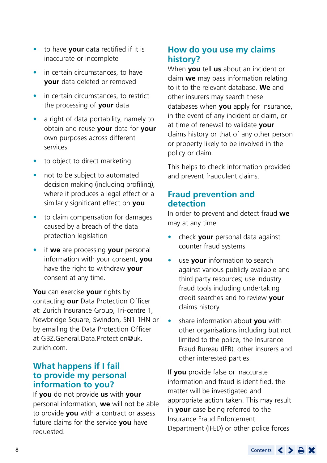- <span id="page-7-0"></span>• to have **your** data rectified if it is inaccurate or incomplete
- in certain circumstances, to have **your** data deleted or removed
- in certain circumstances, to restrict the processing of **your** data
- a right of data portability, namely to obtain and reuse **your** data for **your** own purposes across different services
- to object to direct marketing
- not to be subject to automated decision making (including profiling), where it produces a legal effect or a similarly significant effect on **you**
- to claim compensation for damages caused by a breach of the data protection legislation
- if **we** are processing **your** personal information with your consent, **you** have the right to withdraw **your** consent at any time.

**You** can exercise **your** rights by contacting **our** Data Protection Officer at: Zurich Insurance Group, Tri-centre 1, Newbridge Square, Swindon, SN1 1HN or by emailing the Data Protection Officer at [GBZ.General.Data.Protection@uk.](mailto:GBZ.General.Data.Protection@uk.zurich.com) [zurich.com](mailto:GBZ.General.Data.Protection@uk.zurich.com).

## **What happens if I fail to provide my personal information to you?**

If **you** do not provide **us** with **your** personal information, **we** will not be able to provide **you** with a contract or assess future claims for the service **you** have requested.

## **How do you use my claims history?**

When **you** tell **us** about an incident or claim **we** may pass information relating to it to the relevant database. **We** and other insurers may search these databases when **you** apply for insurance, in the event of any incident or claim, or at time of renewal to validate **your** claims history or that of any other person or property likely to be involved in the policy or claim.

This helps to check information provided and prevent fraudulent claims.

## **Fraud prevention and detection**

In order to prevent and detect fraud **we** may at any time:

- check **your** personal data against counter fraud systems
- use **your** information to search against various publicly available and third party resources; use industry fraud tools including undertaking credit searches and to review **your** claims history
- share information about **you** with other organisations including but not limited to the police, the Insurance Fraud Bureau (IFB), other insurers and other interested parties.

If **you** provide false or inaccurate information and fraud is identified, the matter will be investigated and appropriate action taken. This may result in **your** case being referred to the Insurance Fraud Enforcement Department (IFED) or other police forces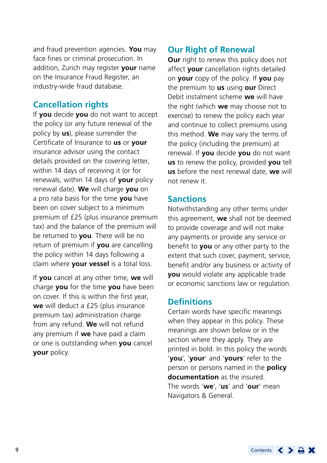<span id="page-8-0"></span>and fraud prevention agencies. **You** may face fines or criminal prosecution. In addition, Zurich may register **your** name on the Insurance Fraud Register, an industry-wide fraud database.

## **Cancellation rights**

If **you** decide **you** do not want to accept the policy (or any future renewal of the policy by **us**), please surrender the Certificate of Insurance to **us** or **your** insurance advisor using the contact details provided on the covering letter, within 14 days of receiving it (or for renewals, within 14 days of **your** policy renewal date). **We** will charge **you** on a pro rata basis for the time **you** have been on cover subject to a minimum premium of £25 (plus insurance premium tax) and the balance of the premium will be returned to **you**. There will be no return of premium if **you** are cancelling the policy within 14 days following a claim where **your vessel** is a total loss.

If **you** cancel at any other time, **we** will charge **you** for the time **you** have been on cover. If this is within the first year, **we** will deduct a £25 (plus insurance premium tax) administration charge from any refund. **We** will not refund any premium if **we** have paid a claim or one is outstanding when **you** cancel **your** policy.

#### **Our Right of Renewal**

**Our** right to renew this policy does not affect **your** cancellation rights detailed on **your** copy of the policy. If **you** pay the premium to **us** using **our** Direct Debit instalment scheme **we** will have the right (which **we** may choose not to exercise) to renew the policy each year and continue to collect premiums using this method. **We** may vary the terms of the policy (including the premium) at renewal. If **you** decide **you** do not want **us** to renew the policy, provided **you** tell **us** before the next renewal date, **we** will not renew it.

#### **Sanctions**

Notwithstanding any other terms under this agreement, **we** shall not be deemed to provide coverage and will not make any payments or provide any service or benefit to **you** or any other party to the extent that such cover, payment, service, benefit and/or any business or activity of **you** would violate any applicable trade or economic sanctions law or regulation.

### **Definitions**

Certain words have specific meanings when they appear in this policy. These meanings are shown below or in the section where they apply. They are printed in bold. In this policy the words '**you**', '**your**' and '**yours**' refer to the person or persons named in the **policy documentation** as the insured. The words '**we**', '**us**' and '**our**' mean Navigators & General.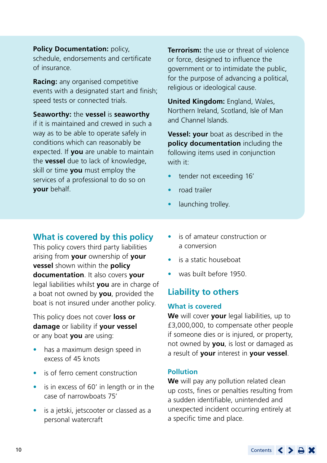<span id="page-9-0"></span>**Policy Documentation: policy.** schedule, endorsements and certificate of insurance.

**Racing:** any organised competitive events with a designated start and finish; speed tests or connected trials.

**Seaworthy:** the **vessel** is **seaworthy**  if it is maintained and crewed in such a way as to be able to operate safely in conditions which can reasonably be expected. If **you** are unable to maintain the **vessel** due to lack of knowledge, skill or time **you** must employ the services of a professional to do so on **your** behalf.

**Terrorism:** the use or threat of violence or force, designed to influence the government or to intimidate the public, for the purpose of advancing a political, religious or ideological cause.

**United Kingdom:** England, Wales, Northern Ireland, Scotland, Isle of Man and Channel Islands.

**Vessel: your** boat as described in the **policy documentation** including the following items used in conjunction with it:

- tender not exceeding 16'
- road trailer
- launching trolley.

## **What is covered by this policy**

This policy covers third party liabilities arising from **your** ownership of **your vessel** shown within the **policy documentation**. It also covers **your** legal liabilities whilst **you** are in charge of a boat not owned by **you**, provided the boat is not insured under another policy.

This policy does not cover **loss or damage** or liability if **your vessel**  or any boat **you** are using:

- has a maximum design speed in excess of 45 knots
- is of ferro cement construction
- is in excess of 60' in length or in the case of narrowboats 75'
- is a jetski, jetscooter or classed as a personal watercraft
- is of amateur construction or a conversion
- is a static houseboat
- was built before 1950.

## **Liability to others**

#### **What is covered**

**We** will cover **your** legal liabilities, up to £3,000,000, to compensate other people if someone dies or is injured, or property, not owned by **you**, is lost or damaged as a result of **your** interest in **your vessel**.

#### **Pollution**

**We** will pay any pollution related clean up costs, fines or penalties resulting from a sudden identifiable, unintended and unexpected incident occurring entirely at a specific time and place.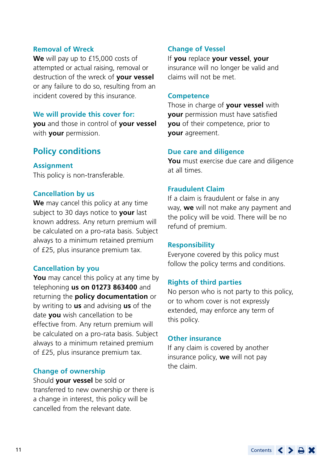#### <span id="page-10-0"></span>**Removal of Wreck**

**We** will pay up to £15,000 costs of attempted or actual raising, removal or destruction of the wreck of **your vessel** or any failure to do so, resulting from an incident covered by this insurance.

#### **We will provide this cover for:**

**you** and those in control of **your vessel** with **your** permission.

## **Policy conditions**

**Assignment** This policy is non-transferable.

#### **Cancellation by us**

**We** may cancel this policy at any time subject to 30 days notice to **your** last known address. Any return premium will be calculated on a pro-rata basis. Subject always to a minimum retained premium of £25, plus insurance premium tax.

#### **Cancellation by you**

**You** may cancel this policy at any time by telephoning **us on 01273 863400** and returning the **policy documentation** or by writing to **us** and advising **us** of the date **you** wish cancellation to be effective from. Any return premium will be calculated on a pro-rata basis. Subject always to a minimum retained premium of £25, plus insurance premium tax.

#### **Change of ownership**

Should **your vessel** be sold or transferred to new ownership or there is a change in interest, this policy will be cancelled from the relevant date.

#### **Change of Vessel**

If **you** replace **your vessel**, **your** insurance will no longer be valid and claims will not be met.

#### **Competence**

Those in charge of **your vessel** with **your** permission must have satisfied **you** of their competence, prior to **your** agreement.

#### **Due care and diligence**

**You** must exercise due care and diligence at all times.

#### **Fraudulent Claim**

If a claim is fraudulent or false in any way, **we** will not make any payment and the policy will be void. There will be no refund of premium.

#### **Responsibility**

Everyone covered by this policy must follow the policy terms and conditions.

#### **Rights of third parties**

No person who is not party to this policy, or to whom cover is not expressly extended, may enforce any term of this policy.

#### **Other insurance**

If any claim is covered by another insurance policy, **we** will not pay the claim.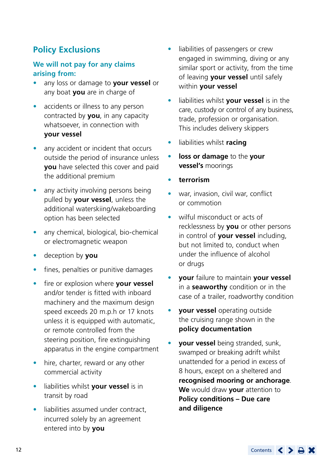## <span id="page-11-0"></span>**Policy Exclusions**

#### **We will not pay for any claims arising from:**

- any loss or damage to **your vessel** or any boat **you** are in charge of
- accidents or illness to any person contracted by **you**, in any capacity whatsoever, in connection with **your vessel**
- any accident or incident that occurs outside the period of insurance unless **you** have selected this cover and paid the additional premium
- any activity involving persons being pulled by **your vessel**, unless the additional waterskiing/wakeboarding option has been selected
- any chemical, biological, bio-chemical or electromagnetic weapon
- deception by **you**
- fines, penalties or punitive damages
- fire or explosion where **your vessel** and/or tender is fitted with inboard machinery and the maximum design speed exceeds 20 m.p.h or 17 knots unless it is equipped with automatic, or remote controlled from the steering position, fire extinguishing apparatus in the engine compartment
- hire, charter, reward or any other commercial activity
- liabilities whilst **your vessel** is in transit by road
- liabilities assumed under contract. incurred solely by an agreement entered into by **you**
- liabilities of passengers or crew engaged in swimming, diving or any similar sport or activity, from the time of leaving **your vessel** until safely within **your vessel**
- liabilities whilst **your vessel** is in the care, custody or control of any business, trade, profession or organisation. This includes delivery skippers
- liabilities whilst **racing**
- **loss or damage** to the **your vessel's** moorings
- **terrorism**
- war, invasion, civil war, conflict or commotion
- wilful misconduct or acts of recklessness by **you** or other persons in control of **your vessel** including, but not limited to, conduct when under the influence of alcohol or drugs
- **your** failure to maintain **your vessel** in a **seaworthy** condition or in the case of a trailer, roadworthy condition
- **your vessel** operating outside the cruising range shown in the **policy documentation**
- **your vessel** being stranded, sunk, swamped or breaking adrift whilst unattended for a period in excess of 8 hours, except on a sheltered and **recognised mooring or anchorage**. **We** would draw **your** attention to **Policy conditions – Due care and diligence**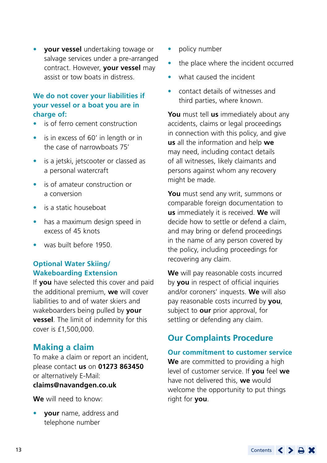<span id="page-12-0"></span>• **your vessel** undertaking towage or salvage services under a pre-arranged contract. However, **your vessel** may assist or tow boats in distress.

#### **We do not cover your liabilities if your vessel or a boat you are in charge of:**

- is of ferro cement construction
- is in excess of 60' in length or in the case of narrowboats 75'
- is a jetski, jetscooter or classed as a personal watercraft
- is of amateur construction or a conversion
- is a static houseboat
- has a maximum design speed in excess of 45 knots
- was built before 1950.

### **Optional Water Skiing/ Wakeboarding Extension**

If **you** have selected this cover and paid the additional premium, **we** will cover liabilities to and of water skiers and wakeboarders being pulled by **your vessel**. The limit of indemnity for this cover is £1,500,000.

## **Making a claim**

To make a claim or report an incident, please contact **us** on **01273 863450** or alternatively E-Mail: **[claims@navandgen.co.uk](mailto:claims@navandgen.co.uk)**

**We** will need to know:

• **your** name, address and telephone number

- policy number
- the place where the incident occurred
- what caused the incident
- contact details of witnesses and third parties, where known.

**You** must tell **us** immediately about any accidents, claims or legal proceedings in connection with this policy, and give **us** all the information and help **we** may need, including contact details of all witnesses, likely claimants and persons against whom any recovery might be made.

**You** must send any writ, summons or comparable foreign documentation to **us** immediately it is received. **We** will decide how to settle or defend a claim, and may bring or defend proceedings in the name of any person covered by the policy, including proceedings for recovering any claim.

**We** will pay reasonable costs incurred by **you** in respect of official inquiries and/or coroners' inquests. **We** will also pay reasonable costs incurred by **you**, subject to **our** prior approval, for settling or defending any claim.

## **Our Complaints Procedure**

#### **Our commitment to customer service**

**We** are committed to providing a high level of customer service. If **you** feel **we** have not delivered this, **we** would welcome the opportunity to put things right for **you**.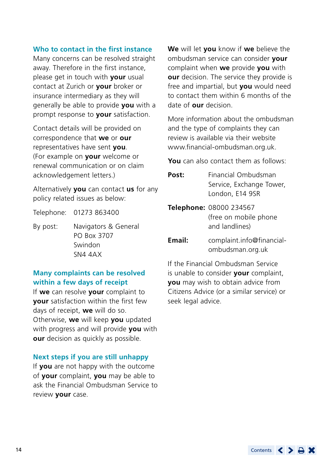#### **Who to contact in the first instance**

Many concerns can be resolved straight away. Therefore in the first instance, please get in touch with **your** usual contact at Zurich or **your** broker or insurance intermediary as they will generally be able to provide **you** with a prompt response to **your** satisfaction.

Contact details will be provided on correspondence that **we** or **our** representatives have sent **you**. (For example on **your** welcome or renewal communication or on claim acknowledgement letters.)

Alternatively **you** can contact **us** for any policy related issues as below:

Telephone: 01273 863400

By post: Navigators & General PO Box 3707 Swindon SN4 4AX

#### **Many complaints can be resolved within a few days of receipt**

If **we** can resolve **your** complaint to **your** satisfaction within the first few days of receipt, **we** will do so. Otherwise, **we** will keep **you** updated with progress and will provide **you** with **our** decision as quickly as possible.

#### **Next steps if you are still unhappy**

If **you** are not happy with the outcome of **your** complaint, **you** may be able to ask the Financial Ombudsman Service to review **your** case.

**We** will let **you** know if **we** believe the ombudsman service can consider **your** complaint when **we** provide **you** with **our** decision. The service they provide is free and impartial, but **you** would need to contact them within 6 months of the date of **our** decision.

More information about the ombudsman and the type of complaints they can review is available via their website [www.financial-ombudsman.org.uk.](http://www.financial-ombudsman.org.uk)

**You** can also contact them as follows:

- **Post:** Financial Ombudsman Service, Exchange Tower, London, E14 9SR
- **Telephone:** 08000 234567 (free on mobile phone and landlines)
- **Email:** [complaint.info@financial](mailto:complaint.info@financial-ombudsman.org.uk)[ombudsman.org.uk](mailto:complaint.info@financial-ombudsman.org.uk)

If the Financial Ombudsman Service is unable to consider **your** complaint, **you** may wish to obtain advice from Citizens Advice (or a similar service) or seek legal advice.